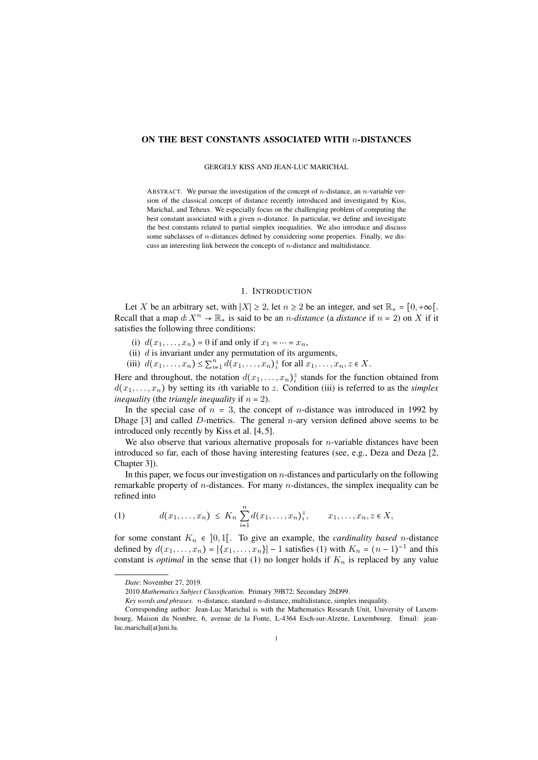## ON THE BEST CONSTANTS ASSOCIATED WITH *n*-DISTANCES

#### GERGELY KISS AND JEAN-LUC MARICHAL

ABSTRACT. We pursue the investigation of the concept of *n*-distance, an *n*-variable version of the classical concept of distance recently introduced and investigated by Kiss, Marichal, and Teheux. We especially focus on the challenging problem of computing the best constant associated with a given *n*-distance. In particular, we define and investigate the best constants related to partial simplex inequalities. We also introduce and discuss some subclasses of *n*-distances defined by considering some properties. Finally, we discuss an interesting link between the concepts of *n*-distance and multidistance.

# 1. INTRODUCTION

Let *X* be an arbitrary set, with  $|X| \ge 2$ , let  $n \ge 2$  be an integer, and set  $\mathbb{R}_{+} = [0, +\infty)$ . Recall that a map  $d: X^n \to \mathbb{R}_+$  is said to be an *n*-distance (a distance if  $n = 2$ ) on X if it satisfies the following three conditions:

- (i)  $d(x_1, ..., x_n) = 0$  if and only if  $x_1 = ... = x_n$ ,
- (ii) *d* is invariant under any permutation of its arguments,
- (iii)  $d(x_1, ..., x_n) \le \sum_{i=1}^n d(x_1, ..., x_n)$ <sup>2</sup> for all  $x_1, ..., x_n, z \in X$ .

Here and throughout, the notation  $d(x_1, \ldots, x_n)$ <sup>2</sup> stands for the function obtained from  $d(x_1, \ldots, x_n)$  by setting its *i*th variable to *z*. Condition (iii) is referred to as the *simplex inequality* (the *triangle inequality* if  $n = 2$ ).

In the special case of  $n = 3$ , the concept of *n*-distance was introduced in 1992 by Dhage [3] and called *D*-metrics. The general *n*-ary version defined above seems to be introduced only recently by Kiss et al. [4, 5].

We also observe that various alternative proposals for *n*-variable distances have been introduced so far, each of those having interesting features (see, e.g., Deza and Deza [2, Chapter 3]).

In this paper, we focus our investigation on *n*-distances and particularly on the following remarkable property of *n*-distances. For many *n*-distances, the simplex inequality can be refined into

(1) 
$$
d(x_1,...,x_n) \leq K_n \sum_{i=1}^n d(x_1,...,x_n)^z_i, \qquad x_1,...,x_n, z \in X,
$$

for some constant  $K_n \in [0,1]$ . To give an example, the *cardinality based n*-distance defined by  $d(x_1,...,x_n) = |\{x_1,...,x_n\}| - 1$  satisfies (1) with  $K_n = (n-1)^{-1}$  and this constant is *optimal* in the sense that (1) no longer holds if  $K_n$  is replaced by any value

*Date*: November 27, 2019.

<sup>2010</sup> *Mathematics Subject Classification.* Primary 39B72; Secondary 26D99.

*Key words and phrases. n*-distance, standard *n*-distance, multidistance, simplex inequality.

Corresponding author: Jean-Luc Marichal is with the Mathematics Research Unit, University of Luxembourg, Maison du Nombre, 6, avenue de la Fonte, L-4364 Esch-sur-Alzette, Luxembourg. Email: jeanluc.marichal[at]uni.lu.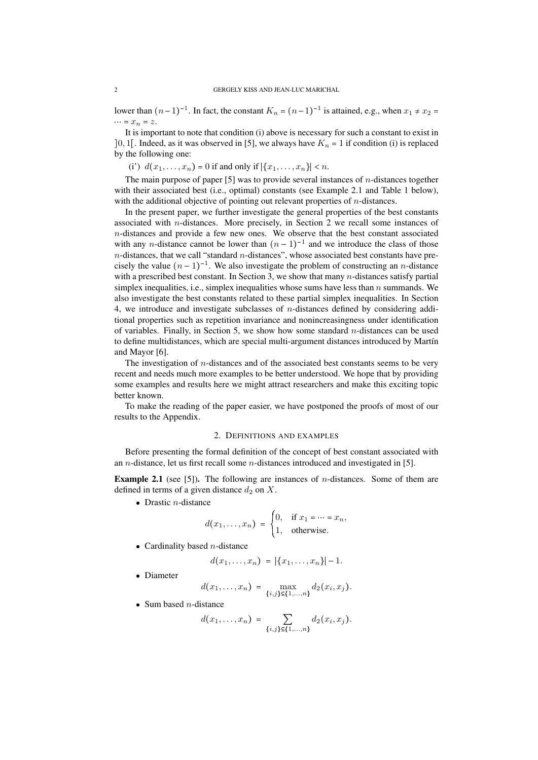lower than  $(n-1)^{-1}$ . In fact, the constant  $K_n = (n-1)^{-1}$  is attained, e.g., when  $x_1 \neq x_2 =$  $\cdots$  =  $x_n$  =  $z$ .

It is important to note that condition (i) above is necessary for such a constant to exist in  $[0, 1]$ . Indeed, as it was observed in [5], we always have  $K_n = 1$  if condition (i) is replaced by the following one:

(i')  $d(x_1, ..., x_n) = 0$  if and only if  $|\{x_1, ..., x_n\}| < n$ .

The main purpose of paper [5] was to provide several instances of *n*-distances together with their associated best (i.e., optimal) constants (see Example 2.1 and Table 1 below), with the additional objective of pointing out relevant properties of *n*-distances.

In the present paper, we further investigate the general properties of the best constants associated with *n*-distances. More precisely, in Section 2 we recall some instances of *n*-distances and provide a few new ones. We observe that the best constant associated with any *n*-distance cannot be lower than  $(n - 1)^{-1}$  and we introduce the class of those *n*-distances, that we call "standard *n*-distances", whose associated best constants have precisely the value  $(n - 1)^{-1}$ . We also investigate the problem of constructing an *n*-distance with a prescribed best constant. In Section 3, we show that many *n*-distances satisfy partial simplex inequalities, i.e., simplex inequalities whose sums have less than *n* summands. We also investigate the best constants related to these partial simplex inequalities. In Section 4, we introduce and investigate subclasses of *n*-distances defined by considering additional properties such as repetition invariance and nonincreasingness under identification of variables. Finally, in Section 5, we show how some standard *n*-distances can be used to define multidistances, which are special multi-argument distances introduced by Martín and Mayor [6].

The investigation of *n*-distances and of the associated best constants seems to be very recent and needs much more examples to be better understood. We hope that by providing some examples and results here we might attract researchers and make this exciting topic better known.

To make the reading of the paper easier, we have postponed the proofs of most of our results to the Appendix.

### 2. DEFINITIONS AND EXAMPLES

Before presenting the formal definition of the concept of best constant associated with an *n*-distance, let us first recall some *n*-distances introduced and investigated in [5].

Example 2.1 (see [5]). The following are instances of *n*-distances. Some of them are defined in terms of a given distance  $d_2$  on  $X$ .

 $\bullet$  Drastic *n*-distance

$$
d(x_1,\ldots,x_n) = \begin{cases} 0, & \text{if } x_1 = \cdots = x_n, \\ 1, & \text{otherwise.} \end{cases}
$$

• Cardinality based  $n$ -distance

$$
d(x_1,...,x_n) = |\{x_1,...,x_n\}| - 1.
$$

• Diameter

$$
d(x_1,...,x_n) = \max_{\{i,j\} \in \{1,...,n\}} d_2(x_i,x_j).
$$

 $\bullet$  Sum based *n*-distance

$$
d(x_1,...,x_n) = \sum_{\{i,j\} \in \{1,...,n\}} d_2(x_i,x_j).
$$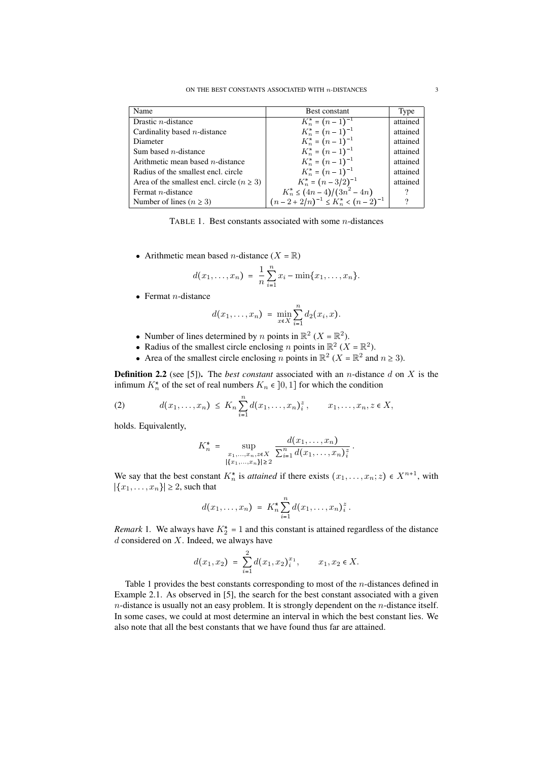| Name                                           | <b>Best constant</b>                     | Type     |
|------------------------------------------------|------------------------------------------|----------|
| Drastic $n$ -distance                          | $K_n^* = (n-1)^{-1}$                     | attained |
| Cardinality based $n$ -distance                | $K_n^* = (n-1)^{-1}$                     | attained |
| Diameter                                       | $K_n^* = (n-1)^{-1}$                     | attained |
| Sum based $n$ -distance                        | $K_n^* = (n-1)^{-1}$                     | attained |
| Arithmetic mean based $n$ -distance            | $K_n^* = (n-1)^{-1}$                     | attained |
| Radius of the smallest encl. circle            | $K_n^* = (n-1)^{-1}$                     | attained |
| Area of the smallest encl. circle $(n \geq 3)$ | $K_n^* = (n-3/2)^{-1}$                   | attained |
| Fermat $n$ -distance                           | $K_n^* \leq (4n-4)/(3n^2-4n)$            |          |
| Number of lines ( $n \geq 3$ )                 | $(n-2+2/n)^{-1} \leq K_n^* < (n-2)^{-1}$ | າ        |

TABLE 1. Best constants associated with some *n*-distances

• Arithmetic mean based *n*-distance  $(X = \mathbb{R})$ 

$$
d(x_1,...,x_n) = \frac{1}{n} \sum_{i=1}^n x_i - \min\{x_1,...,x_n\}.
$$

 $\bullet$  Fermat *n*-distance

$$
d(x_1,...,x_n) = \min_{x \in X} \sum_{i=1}^n d_2(x_i,x).
$$

- Number of lines determined by *n* points in  $\mathbb{R}^2$  (*X* =  $\mathbb{R}^2$ ).
- Radius of the smallest circle enclosing *n* points in  $\mathbb{R}^2$  (*X* =  $\mathbb{R}^2$ ).
- Area of the smallest circle enclosing *n* points in  $\mathbb{R}^2$  (*X* =  $\mathbb{R}^2$  and *n*  $\geq$  3).

Definition 2.2 (see [5]). The *best constant* associated with an *n*-distance *d* on *X* is the infimum  $K_n^*$  of the set of real numbers  $K_n \in ]0,1]$  for which the condition

(2) 
$$
d(x_1,...,x_n) \leq K_n \sum_{i=1}^n d(x_1,...,x_n)^2, \qquad x_1,...,x_n, z \in X,
$$

holds. Equivalently,

$$
K_n^* = \sup_{\substack{x_1,\ldots,x_n,z \in X \\ |\{x_1,\ldots,x_n\}| \geq 2}} \frac{d(x_1,\ldots,x_n)}{\sum_{i=1}^n d(x_1,\ldots,x_n)_i^z}.
$$

We say that the best constant  $K_n^*$  is *attained* if there exists  $(x_1, \ldots, x_n; z) \in X^{n+1}$ , with  $|\{x_1, \ldots, x_n\}| \geq 2$ , such that

$$
d(x_1,...,x_n) = K_n^* \sum_{i=1}^n d(x_1,...,x_n)^2.
$$

*Remark* 1. We always have  $K_2^* = 1$  and this constant is attained regardless of the distance *d* considered on *X*. Indeed, we always have

$$
d(x_1,x_2) = \sum_{i=1}^2 d(x_1,x_2)_{i}^{x_1}, \qquad x_1,x_2 \in X.
$$

Table 1 provides the best constants corresponding to most of the *n*-distances defined in Example 2.1. As observed in [5], the search for the best constant associated with a given *n*-distance is usually not an easy problem. It is strongly dependent on the *n*-distance itself. In some cases, we could at most determine an interval in which the best constant lies. We also note that all the best constants that we have found thus far are attained.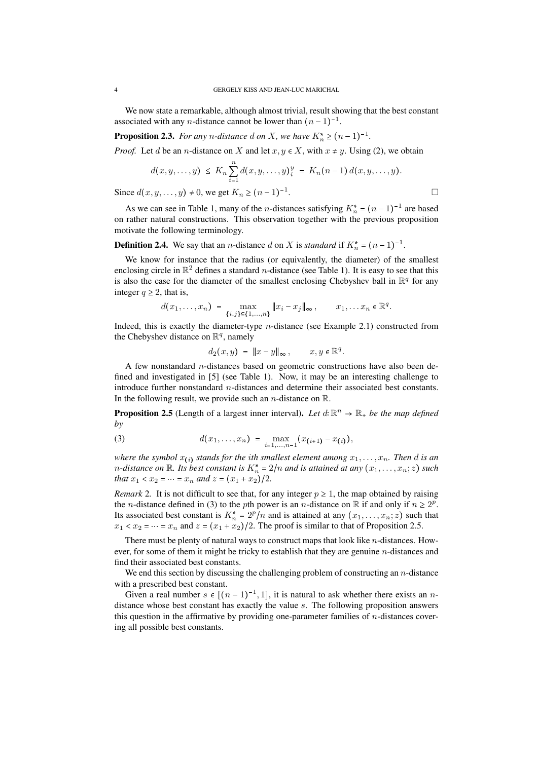We now state a remarkable, although almost trivial, result showing that the best constant associated with any *n*-distance cannot be lower than  $(n - 1)^{-1}$ .

**Proposition 2.3.** *For any n*-distance *d on X, we have*  $K_n^* \ge (n-1)^{-1}$ *.* 

*Proof.* Let *d* be an *n*-distance on *X* and let  $x, y \in X$ , with  $x \neq y$ . Using (2), we obtain

$$
d(x,y,\ldots,y) \leq K_n \sum_{i=1}^n d(x,y,\ldots,y)_i^y = K_n(n-1) d(x,y,\ldots,y).
$$

.

Since  $d(x, y, ..., y) \neq 0$ , we get  $K_n \geq (n - 1)^{-1}$ 

As we can see in Table 1, many of the *n*-distances satisfying  $K_n^* = (n-1)^{-1}$  are based on rather natural constructions. This observation together with the previous proposition motivate the following terminology.

**Definition 2.4.** We say that an *n*-distance *d* on *X* is *standard* if  $K_n^* = (n-1)^{-1}$ .

We know for instance that the radius (or equivalently, the diameter) of the smallest enclosing circle in  $\mathbb{R}^2$  defines a standard *n*-distance (see Table 1). It is easy to see that this is also the case for the diameter of the smallest enclosing Chebyshev ball in  $\mathbb{R}^q$  for any integer  $q \geq 2$ , that is,

$$
d(x_1,...,x_n) = \max_{\{i,j\} \subseteq \{1,...,n\}} \|x_i - x_j\|_{\infty}, \qquad x_1,...,x_n \in \mathbb{R}^q.
$$

Indeed, this is exactly the diameter-type *n*-distance (see Example 2.1) constructed from the Chebyshev distance on  $\mathbb{R}^q$ , namely

$$
d_2(x,y) = ||x - y||_{\infty}, \qquad x, y \in \mathbb{R}^q.
$$

A few nonstandard *n*-distances based on geometric constructions have also been defined and investigated in [5] (see Table 1). Now, it may be an interesting challenge to introduce further nonstandard *n*-distances and determine their associated best constants. In the following result, we provide such an *n*-distance on R.

**Proposition 2.5** (Length of a largest inner interval). Let  $d \mathbb{R}^n \to \mathbb{R}_+$  be the map defined *by*

(3) 
$$
d(x_1,...,x_n) = \max_{i=1,...,n-1} (x_{(i+1)} - x_{(i)}),
$$

*where the symbol*  $x_{(i)}$  *stands for the ith smallest element among*  $x_1, \ldots, x_n$ *. Then d is an n*-distance on  $\mathbb R$ . Its best constant is  $K_n^* = 2/n$  and is attained at any  $(x_1, \ldots, x_n; z)$  such *that*  $x_1 < x_2 = \cdots = x_n$  *and*  $z = (x_1 + x_2)/2$ .

*Remark* 2. It is not difficult to see that, for any integer  $p \ge 1$ , the map obtained by raising the *n*-distance defined in (3) to the *p*th power is an *n*-distance on  $\mathbb R$  if and only if  $n \geq 2^p$ . Its associated best constant is  $K_n^* = 2^p/n$  and is attained at any  $(x_1, \ldots, x_n; z)$  such that  $x_1 < x_2 = \cdots = x_n$  and  $z = (x_1 + x_2)/2$ . The proof is similar to that of Proposition 2.5.

There must be plenty of natural ways to construct maps that look like *n*-distances. However, for some of them it might be tricky to establish that they are genuine *n*-distances and find their associated best constants.

We end this section by discussing the challenging problem of constructing an *n*-distance with a prescribed best constant.

Given a real number  $s \in [(n-1)^{-1},1]$ , it is natural to ask whether there exists an *n*distance whose best constant has exactly the value *s*. The following proposition answers this question in the affirmative by providing one-parameter families of *n*-distances covering all possible best constants.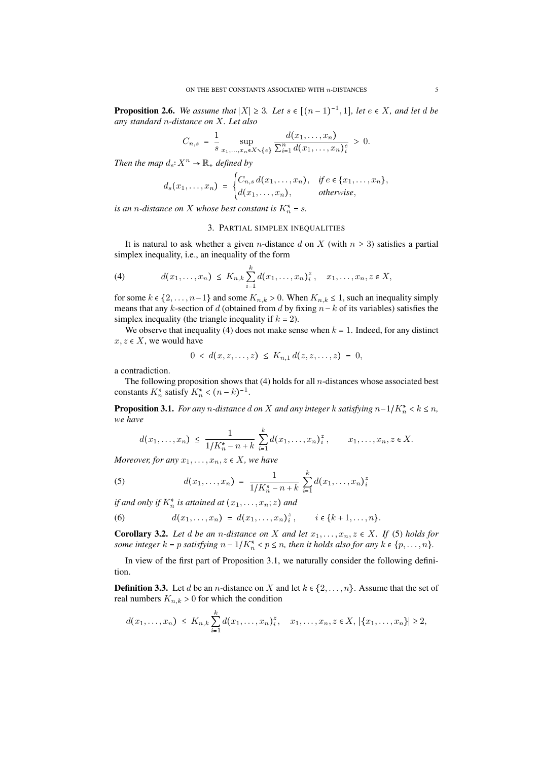**Proposition 2.6.** We assume that  $|X| \geq 3$ . Let  $s \in [(n-1)^{-1}, 1]$ , let  $e \in X$ , and let d be *any standard n-distance on X. Let also*

$$
C_{n,s} = \frac{1}{s} \sup_{x_1,...,x_n \in X \setminus \{e\}} \frac{d(x_1,...,x_n)}{\sum_{i=1}^n d(x_1,...,x_n)_i^e} > 0.
$$

*Then the map*  $d_s \colon X^n \to \mathbb{R}_+$  *defined by* 

$$
d_s(x_1,\ldots,x_n) = \begin{cases} C_{n,s} d(x_1,\ldots,x_n), & \text{if } e \in \{x_1,\ldots,x_n\}, \\ d(x_1,\ldots,x_n), & \text{otherwise}, \end{cases}
$$

*is an n-distance on X whose best constant is*  $K_n^* = s$ *.* 

### 3. PARTIAL SIMPLEX INEQUALITIES

It is natural to ask whether a given *n*-distance *d* on *X* (with  $n \geq 3$ ) satisfies a partial simplex inequality, i.e., an inequality of the form

(4) 
$$
d(x_1,...,x_n) \leq K_{n,k} \sum_{i=1}^k d(x_1,...,x_n)^z_i, \quad x_1,...,x_n, z \in X,
$$

for some  $k \in \{2, \ldots, n-1\}$  and some  $K_{n,k} > 0$ . When  $K_{n,k} \leq 1$ , such an inequality simply means that any *k*-section of *d* (obtained from *d* by fixing  $n - k$  of its variables) satisfies the simplex inequality (the triangle inequality if  $k = 2$ ).

We observe that inequality (4) does not make sense when  $k = 1$ . Indeed, for any distinct  $x, z \in X$ , we would have

$$
0 < d(x, z, \ldots, z) \leq K_{n,1} d(z, z, \ldots, z) = 0,
$$

a contradiction.

The following proposition shows that (4) holds for all *n*-distances whose associated best constants  $K_n^*$  satisfy  $K_n^* < (n-k)^{-1}$ .

**Proposition 3.1.** *For any n*-distance *d on X and any integer k satisfying*  $n-1/K_n^* < k \leq n$ *, we have*

$$
d(x_1,...,x_n) \leq \frac{1}{1/K_n^* - n + k} \sum_{i=1}^k d(x_1,...,x_n)^2, \qquad x_1,...,x_n, z \in X.
$$

*Moreover, for any*  $x_1, \ldots, x_n, z \in X$ *, we have* 

(5) 
$$
d(x_1,...,x_n) = \frac{1}{1/K_n^* - n + k} \sum_{i=1}^k d(x_1,...,x_n)_i^2
$$

*if and only if*  $K_n^*$  *is attained at*  $(x_1, \ldots, x_n; z)$  *and* 

(6)  $d(x_1, \ldots, x_n) = d(x_1, \ldots, x_n)_{i}^2$  $i \in \{k+1, \ldots, n\}.$ 

**Corollary 3.2.** Let  $d$  be an  $n$ -distance on  $X$  and let  $x_1, \ldots, x_n, z \in X$ . If (5) holds for *some integer*  $k = p$  *satisfying*  $n - 1/K_n^* < p \le n$ *, then it holds also for any*  $k \in \{p, \ldots, n\}$ *.* 

In view of the first part of Proposition 3.1, we naturally consider the following definition.

**Definition 3.3.** Let *d* be an *n*-distance on *X* and let  $k \in \{2, ..., n\}$ . Assume that the set of real numbers  $K_{n,k} > 0$  for which the condition

$$
d(x_1,...,x_n) \leq K_{n,k} \sum_{i=1}^k d(x_1,...,x_n)^z, \quad x_1,...,x_n, z \in X, |\{x_1,...,x_n\}| \geq 2,
$$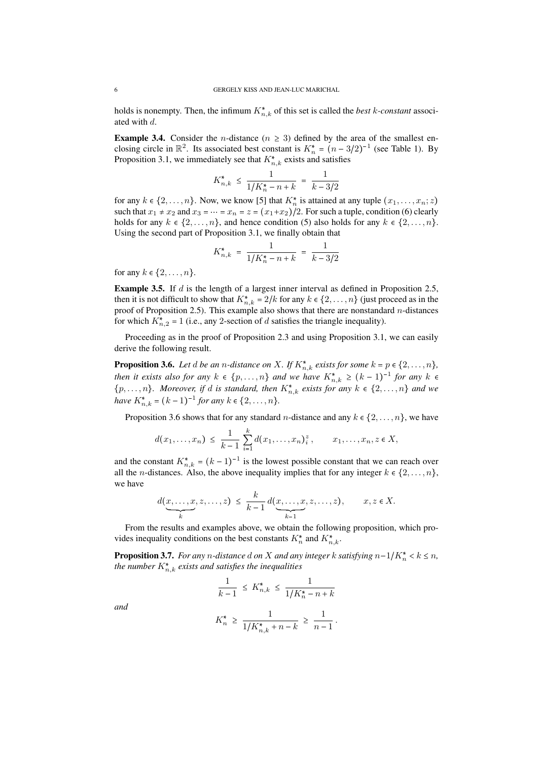holds is nonempty. Then, the infimum  $K_{n,k}^*$  of this set is called the *best k-constant* associated with *d*.

**Example 3.4.** Consider the *n*-distance ( $n \geq 3$ ) defined by the area of the smallest enclosing circle in  $\mathbb{R}^2$ . Its associated best constant is  $K_n^* = (n-3/2)^{-1}$  (see Table 1). By Proposition 3.1, we immediately see that  $K_{n,k}^*$  exists and satisfies

$$
K_{n,k}^* \le \frac{1}{1/K_n^* - n + k} = \frac{1}{k - 3/2}
$$

for any  $k \in \{2, \ldots, n\}$ . Now, we know [5] that  $K_n^*$  is attained at any tuple  $(x_1, \ldots, x_n; z)$ such that  $x_1 \neq x_2$  and  $x_3 = \cdots = x_n = z = (x_1 + x_2)/2$ . For such a tuple, condition (6) clearly holds for any  $k \in \{2, \ldots, n\}$ , and hence condition (5) also holds for any  $k \in \{2, \ldots, n\}$ . Using the second part of Proposition 3.1, we finally obtain that

$$
K_{n,k}^* \ = \ \frac{1}{1/K_n^* - n + k} \ = \ \frac{1}{k-3/2}
$$

for any  $k \in \{2, ..., n\}$ .

Example 3.5. If *d* is the length of a largest inner interval as defined in Proposition 2.5, then it is not difficult to show that  $K_{n,k}^* = 2/k$  for any  $k \in \{2, ..., n\}$  (just proceed as in the proof of Proposition 2.5). This example also shows that there are nonstandard *n*-distances for which  $K_{n,2}^* = 1$  (i.e., any 2-section of *d* satisfies the triangle inequality).

Proceeding as in the proof of Proposition 2.3 and using Proposition 3.1, we can easily derive the following result.

**Proposition 3.6.** Let  $d$  be an *n*-distance on  $X$ *. If*  $K_{n,k}^*$  exists for some  $k = p \in \{2, \ldots, n\}$ , *then it exists also for any*  $k \in \{p, \ldots, n\}$  and we have  $K_{n,k}^* \geq (k-1)^{-1}$  for any  $k \in$  $\{p, \ldots, n\}$ . Moreover, if *d* is standard, then  $K_{n,k}^*$  exists for any  $k \in \{2, \ldots, n\}$  and we *have*  $K_{n,k}^* = (k-1)^{-1}$  *for any*  $k \in \{2, ..., n\}$ .

Proposition 3.6 shows that for any standard *n*-distance and any  $k \in \{2, ..., n\}$ , we have

$$
d(x_1,...,x_n) \leq \frac{1}{k-1} \sum_{i=1}^k d(x_1,...,x_n)^2, \qquad x_1,...,x_n, z \in X,
$$

and the constant  $K_{n,k}^* = (k-1)^{-1}$  is the lowest possible constant that we can reach over all the *n*-distances. Also, the above inequality implies that for any integer  $k \in \{2, \ldots, n\}$ , we have

$$
d(\underbrace{x,\ldots,x}_{k},z,\ldots,z) \leq \frac{k}{k-1} d(\underbrace{x,\ldots,x}_{k-1},z,\ldots,z), \qquad x,z \in X.
$$

From the results and examples above, we obtain the following proposition, which provides inequality conditions on the best constants  $K_n^*$  and  $K_{n,k}^*$ .

**Proposition 3.7.** *For any n*-distance *d on X and any integer k satisfying*  $n-1/K_n^* < k \leq n$ *, the number*  $K_{n,k}^*$  *exists and satisfies the inequalities* 

$$
\frac{1}{k-1} \le K_{n,k}^* \le \frac{1}{1/K_n^* - n + k}
$$

*and*

$$
K_n^* \ge \frac{1}{1/K_{n,k}^* + n - k} \ge \frac{1}{n-1}.
$$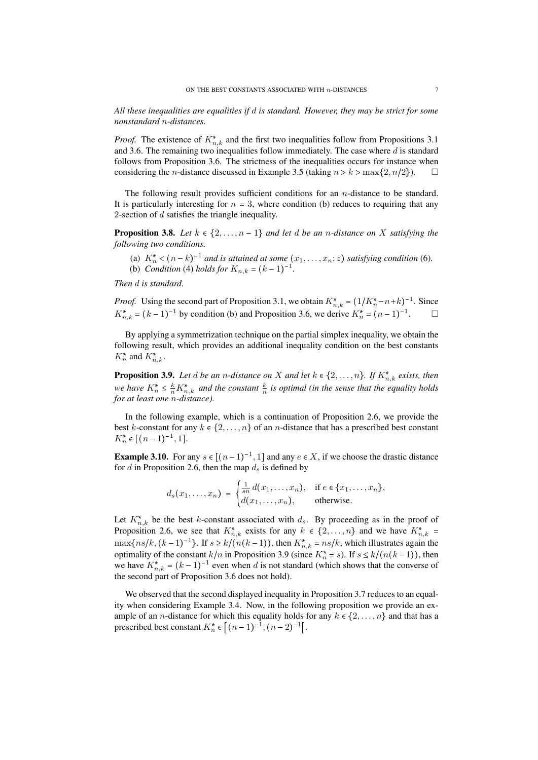*All these inequalities are equalities if d is standard. However, they may be strict for some nonstandard n-distances.*

*Proof.* The existence of  $K_{n,k}^*$  and the first two inequalities follow from Propositions 3.1 and 3.6. The remaining two inequalities follow immediately. The case where *d* is standard follows from Proposition 3.6. The strictness of the inequalities occurs for instance when considering the *n*-distance discussed in Example 3.5 (taking  $n > k > \max\{2, n/2\}$ ).

The following result provides sufficient conditions for an *n*-distance to be standard. It is particularly interesting for  $n = 3$ , where condition (b) reduces to requiring that any 2-section of *d* satisfies the triangle inequality.

**Proposition 3.8.** Let  $k \in \{2, \ldots, n-1\}$  and let d be an *n*-distance on X satisfying the *following two conditions.*

(a)  $K_n^* < (n-k)^{-1}$  and is attained at some  $(x_1, \ldots, x_n; z)$  satisfying condition (6). (b) *Condition* (4) *holds for*  $K_{n,k} = (k-1)^{-1}$ *.* 

*Then d is standard.*

*Proof.* Using the second part of Proposition 3.1, we obtain  $K_{n,k}^* = (1/K_n^* - n + k)^{-1}$ . Since  $K_{n,k}^* = (k-1)^{-1}$  by condition (b) and Proposition 3.6, we derive  $K_n^* = (n-1)^{-1}$ .

By applying a symmetrization technique on the partial simplex inequality, we obtain the following result, which provides an additional inequality condition on the best constants  $K_n^*$  and  $K_{n,k}^*$ .

**Proposition 3.9.** Let  $d$  be an  $n$ -distance on  $X$  and let  $k \in \{2, ..., n\}$ . If  $K_{n,k}^*$  exists, then *we have*  $K_n^* \leq \frac{k}{n} K_{n,k}^*$  *and the constant*  $\frac{k}{n}$  *is optimal (in the sense that the equality holds for at least one n-distance).*

In the following example, which is a continuation of Proposition 2.6, we provide the best *k*-constant for any  $k \in \{2, ..., n\}$  of an *n*-distance that has a prescribed best constant  $K_n^* \in [(n-1)^{-1}, 1].$ 

**Example 3.10.** For any  $s \in [(n-1)^{-1}, 1]$  and any  $e \in X$ , if we choose the drastic distance for *d* in Proposition 2.6, then the map  $d_s$  is defined by

$$
d_s(x_1,\ldots,x_n) = \begin{cases} \frac{1}{sn} d(x_1,\ldots,x_n), & \text{if } e \in \{x_1,\ldots,x_n\}, \\ d(x_1,\ldots,x_n), & \text{otherwise.} \end{cases}
$$

Let  $K_{n,k}^*$  be the best *k*-constant associated with  $d_s$ . By proceeding as in the proof of Proposition 2.6, we see that  $K_{n,k}^*$  exists for any  $k \in \{2, \ldots, n\}$  and we have  $K_{n,k}^*$  $\max\{ns/k, (k-1)^{-1}\}\$ . If  $s \ge k/(n(k-1))$ , then  $K_{n,k}^* = ns/k$ , which illustrates again the optimality of the constant  $k/n$  in Proposition 3.9 (since  $K_n^* = s$ ). If  $s \le k/(n(k-1))$ , then we have  $K_{n,k}^* = (k-1)^{-1}$  even when *d* is not standard (which shows that the converse of the second part of Proposition 3.6 does not hold).

We observed that the second displayed inequality in Proposition 3.7 reduces to an equality when considering Example 3.4. Now, in the following proposition we provide an example of an *n*-distance for which this equality holds for any  $k \in \{2, \ldots, n\}$  and that has a prescribed best constant  $K_n^* \in [(n-1)^{-1}, (n-2)^{-1}].$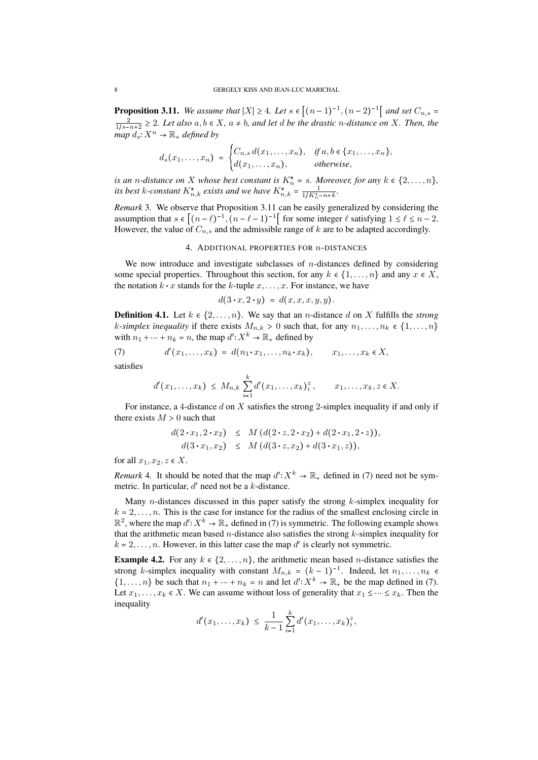**Proposition 3.11.** We assume that  $|X| \ge 4$ . Let  $s \in [(n-1)^{-1}, (n-2)^{-1}]$  and set  $C_{n,s}$  $\frac{2}{1/s-n+2} \geq 2$ . Let also  $a, b \in X$ ,  $a \neq b$ , and let *d* be the drastic *n*-distance on *X*. Then, the  $\lim_{m \to \infty} \int_{0}^{m} X^{n} \to \mathbb{R}$  *defined by* 

$$
d_s(x_1,\ldots,x_n) = \begin{cases} C_{n,s} d(x_1,\ldots,x_n), & \text{if } a,b \in \{x_1,\ldots,x_n\}, \\ d(x_1,\ldots,x_n), & \text{otherwise,} \end{cases}
$$

*is an n-distance on X whose best constant is*  $K_n^* = s$ *. Moreover, for any*  $k \in \{2, ..., n\}$ , *its best k*-constant  $K_{n,k}^*$  *exists and we have*  $K_{n,k}^* = \frac{1}{1/K_n^* - n + k}$ .

*Remark* 3*.* We observe that Proposition 3.11 can be easily generalized by considering the assumption that  $s \in [(n-\ell)^{-1}, (n-\ell-1)^{-1}]$  for some integer  $\ell$  satisfying  $1 \leq \ell \leq n-2$ . However, the value of  $C_{n,s}$  and the admissible range of  $k$  are to be adapted accordingly.

### 4. ADDITIONAL PROPERTIES FOR *n*-DISTANCES

We now introduce and investigate subclasses of *n*-distances defined by considering some special properties. Throughout this section, for any  $k \in \{1, \ldots, n\}$  and any  $x \in X$ , some special properties. Throughout this section, for any  $k \in \{1, \ldots,$  the notation  $k \cdot x$  stands for the  $k$ -tuple  $x, \ldots, x$ . For instance, we have

$$
d(3 \cdot x, 2 \cdot y) = d(x, x, x, y, y).
$$

**Definition 4.1.** Let  $k \in \{2, \ldots, n\}$ . We say that an *n*-distance *d* on *X* fulfills the *strong k*-simplex inequality if there exists  $M_{n,k} > 0$  such that, for any  $n_1, \ldots, n_k \in \{1, \ldots, n\}$ with  $n_1 + \dots + n_k = n$ , the map  $d' : X^k \to \mathbb{R}_+$  defined by<br>(7)  $d'(x_1, \dots, x_k) = d(n_1 \cdot x_1, \dots, n_k \cdot x_k), \qquad x_1, \dots, x_k \in X$ ,

(7) 
$$
d'(x_1,\ldots,x_k) = d(n_1\cdot x_1,\ldots,n_k\cdot x_k), \qquad x_1,\ldots,x_k \in X
$$

satisfies

$$
d'(x_1,\ldots,x_k) \leq M_{n,k} \sum_{i=1}^k d'(x_1,\ldots,x_k)^2, \qquad x_1,\ldots,x_k, z \in X.
$$

For instance, a 4-distance *d* on *X* satisfies the strong 2-simplex inequality if and only if there exists  $M > 0$  such that

$$
d(2 \cdot x_1, 2 \cdot x_2) \leq M(d(2 \cdot z, 2 \cdot x_2) + d(2 \cdot x_1, 2 \cdot z)),
$$
  

$$
d(3 \cdot x_1, x_2) \leq M(d(3 \cdot z, x_2) + d(3 \cdot x_1, z)),
$$

for all  $x_1, x_2, z \in X$ .

*Remark* 4. It should be noted that the map  $d' : X^k \to \mathbb{R}_+$  defined in (7) need not be symmetric. In particular,  $d'$  need not be a  $k$ -distance.

Many *n*-distances discussed in this paper satisfy the strong *k*-simplex inequality for  $k = 2, \ldots, n$ . This is the case for instance for the radius of the smallest enclosing circle in  $\mathbb{R}^2$ , where the map  $d' : X^k \to \mathbb{R}_+$  defined in (7) is symmetric. The following example shows that the arithmetic mean based *n*-distance also satisfies the strong *k*-simplex inequality for  $k = 2, \ldots, n$ . However, in this latter case the map  $d'$  is clearly not symmetric.

**Example 4.2.** For any  $k \in \{2, ..., n\}$ , the arithmetic mean based *n*-distance satisfies the strong *k*-simplex inequality with constant  $M_{n,k} = (k-1)^{-1}$ . Indeed, let  $n_1, \ldots, n_k \in$  $\{1, \ldots, n\}$  be such that  $n_1 + \cdots + n_k = n$  and let  $d' : X^k \to \mathbb{R}_+$  be the map defined in (7). Let  $x_1, \ldots, x_k \in X$ . We can assume without loss of generality that  $x_1 \leq \cdots \leq x_k$ . Then the inequality

$$
d'(x_1,\ldots,x_k) \leq \frac{1}{k-1}\sum_{i=1}^k d'(x_1,\ldots,x_k)^2_i,
$$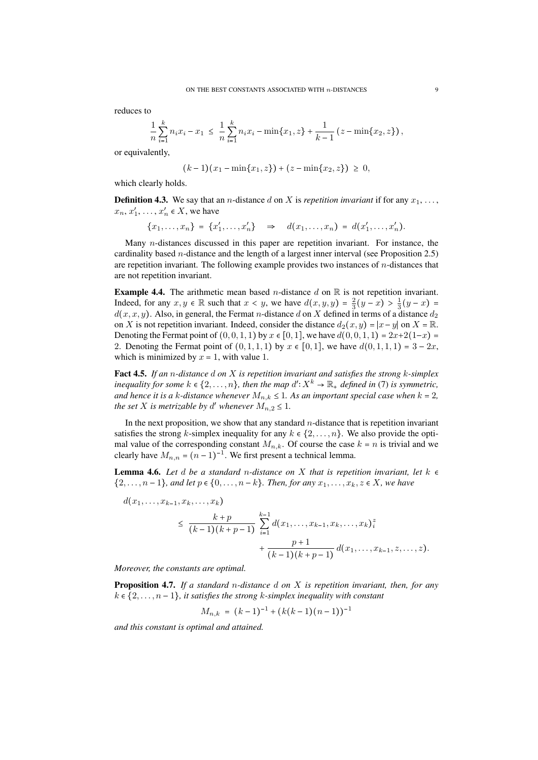reduces to

$$
\frac{1}{n}\sum_{i=1}^k n_i x_i - x_1 \le \frac{1}{n}\sum_{i=1}^k n_i x_i - \min\{x_1, z\} + \frac{1}{k-1} (z - \min\{x_2, z\}),
$$

or equivalently,

$$
(k-1)(x_1 - \min\{x_1, z\}) + (z - \min\{x_2, z\}) \geq 0,
$$

which clearly holds.

**Definition 4.3.** We say that an *n*-distance *d* on *X* is *repetition invariant* if for any  $x_1, \ldots$ ,  $x_n, x'_1, \ldots, x'_n \in X$ , we have

$$
\{x_1, \ldots, x_n\} = \{x'_1, \ldots, x'_n\} \quad \Rightarrow \quad d(x_1, \ldots, x_n) = d(x'_1, \ldots, x'_n).
$$

Many *n*-distances discussed in this paper are repetition invariant. For instance, the cardinality based *n*-distance and the length of a largest inner interval (see Proposition 2.5) are repetition invariant. The following example provides two instances of *n*-distances that are not repetition invariant.

**Example 4.4.** The arithmetic mean based *n*-distance  $d$  on  $\mathbb{R}$  is not repetition invariant. Indeed, for any  $x, y \in \mathbb{R}$  such that  $x < y$ , we have  $d(x, y, y) = \frac{2}{3}(y - x) > \frac{1}{3}(y - x) =$  $d(x, x, y)$ . Also, in general, the Fermat *n*-distance *d* on *X* defined in terms of a distance  $d_2$ on *X* is not repetition invariant. Indeed, consider the distance  $d_2(x, y) = |x - y|$  on  $X = \mathbb{R}$ . Denoting the Fermat point of  $(0, 0, 1, 1)$  by  $x \in [0, 1]$ , we have  $d(0, 0, 1, 1) = 2x + 2(1-x)$ 2. Denoting the Fermat point of  $(0, 1, 1, 1)$  by  $x \in [0, 1]$ , we have  $d(0, 1, 1, 1) = 3 - 2x$ , which is minimized by  $x = 1$ , with value 1.

Fact 4.5. *If an n-distance d on X is repetition invariant and satisfies the strong k-simplex inequality for some*  $k \in \{2, ..., n\}$ , then the map  $d' \colon X^k \to \mathbb{R}$ , defined in (7) is symmetric, *and hence it is a k-distance whenever*  $M_{n,k} \leq 1$ *. As an important special case when*  $k = 2$ *, the set*  $X$  *is metrizable by*  $d'$  *whenever*  $M_{n,2} \leq 1$ *.* 

In the next proposition, we show that any standard *n*-distance that is repetition invariant satisfies the strong *k*-simplex inequality for any  $k \in \{2, \ldots, n\}$ . We also provide the optimal value of the corresponding constant  $M_{n,k}$ . Of course the case  $k = n$  is trivial and we clearly have  $M_{n,n} = (n-1)^{-1}$ . We first present a technical lemma.

**Lemma 4.6.** Let *d* be a standard *n*-distance on *X* that is repetition invariant, let  $k \in$  $\{2, \ldots, n-1\}$ , and let  $p \in \{0, \ldots, n-k\}$ . Then, for any  $x_1, \ldots, x_k, z \in X$ , we have

$$
d(x_1, \ldots, x_{k-1}, x_k, \ldots, x_k) \leq \frac{k+p}{(k-1)(k+p-1)} \sum_{i=1}^{k-1} d(x_1, \ldots, x_{k-1}, x_k, \ldots, x_k)^z + \frac{p+1}{(k-1)(k+p-1)} d(x_1, \ldots, x_{k-1}, z, \ldots, z).
$$

*Moreover, the constants are optimal.*

Proposition 4.7. *If a standard n-distance d on X is repetition invariant, then, for any*  $k \in \{2, \ldots, n-1\}$ , it satisfies the strong *k*-simplex inequality with constant

$$
M_{n,k} = (k-1)^{-1} + (k(k-1)(n-1))^{-1}
$$

*and this constant is optimal and attained.*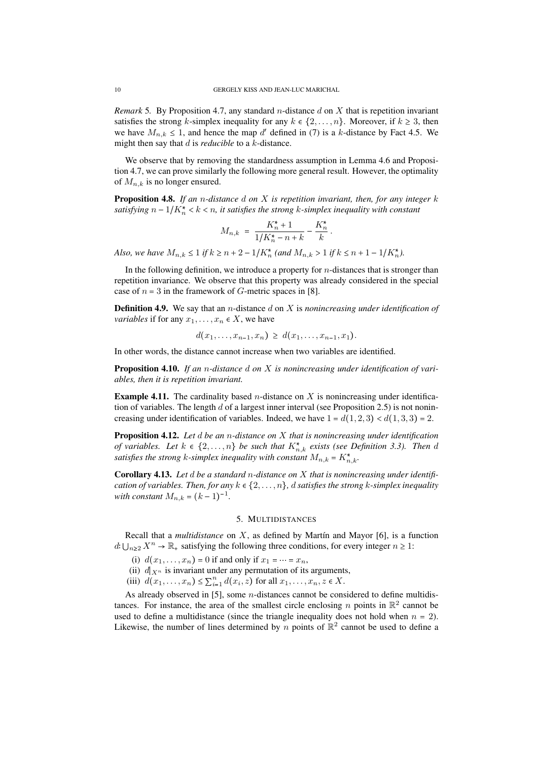*Remark* 5*.* By Proposition 4.7, any standard *n*-distance *d* on *X* that is repetition invariant satisfies the strong *k*-simplex inequality for any  $k \in \{2, \ldots, n\}$ . Moreover, if  $k \geq 3$ , then we have  $M_{n,k} \leq 1$ , and hence the map d' defined in (7) is a *k*-distance by Fact 4.5. We might then say that *d* is *reducible* to a *k*-distance.

We observe that by removing the standardness assumption in Lemma 4.6 and Proposition 4.7, we can prove similarly the following more general result. However, the optimality of  $M_{n,k}$  is no longer ensured.

Proposition 4.8. *If an n-distance d on X is repetition invariant, then, for any integer k satisfying*  $n - 1/K_n^* < k < n$ , it satisfies the strong *k*-simplex inequality with constant

$$
M_{n,k} = \frac{K_n^* + 1}{1/K_n^* - n + k} - \frac{K_n^*}{k}.
$$

*Also, we have*  $M_{n,k} \leq 1$  *if*  $k \geq n+2-1/K_n^*$  (and  $M_{n,k} > 1$  *if*  $k \leq n+1-1/K_n^*$ ).

In the following definition, we introduce a property for *n*-distances that is stronger than repetition invariance. We observe that this property was already considered in the special case of  $n = 3$  in the framework of *G*-metric spaces in [8].

Definition 4.9. We say that an *n*-distance *d* on *X* is *nonincreasing under identification of variables* if for any  $x_1, \ldots, x_n \in X$ , we have

 $d(x_1, \ldots, x_{n-1}, x_n) \geq d(x_1, \ldots, x_{n-1}, x_1).$ 

In other words, the distance cannot increase when two variables are identified.

Proposition 4.10. *If an n-distance d on X is nonincreasing under identification of variables, then it is repetition invariant.*

Example 4.11. The cardinality based *n*-distance on *X* is nonincreasing under identification of variables. The length *d* of a largest inner interval (see Proposition 2.5) is not nonincreasing under identification of variables. Indeed, we have  $1 = d(1, 2, 3) < d(1, 3, 3) = 2$ .

Proposition 4.12. *Let d be an n-distance on X that is nonincreasing under identification of variables.* Let  $k \in \{2, \ldots, n\}$  be such that  $K_{n,k}^*$  exists (see Definition 3.3). Then d *satisfies the strong k*-simplex inequality with constant  $M_{n,k} = K_{n,k}^*$ .

Corollary 4.13. *Let d be a standard n-distance on X that is nonincreasing under identification of variables. Then, for any*  $k \in \{2, \ldots, n\}$ , *d satisfies the strong k*-simplex inequality *with constant*  $M_{n,k} = (k-1)^{-1}$ .

## 5. MULTIDISTANCES

Recall that a *multidistance* on  $X$ , as defined by Martín and Mayor [6], is a function  $d: \bigcup_{n\geq 2} X^n \to \mathbb{R}_+$  satisfying the following three conditions, for every integer  $n \geq 1$ :

(i)  $d(x_1, ..., x_n) = 0$  if and only if  $x_1 = ... = x_n$ ,

(ii)  $d_{X^n}$  is invariant under any permutation of its arguments,

(iii)  $d(x_1, ..., x_n) \le \sum_{i=1}^n d(x_i, z)$  for all  $x_1, ..., x_n, z \in X$ .

As already observed in [5], some *n*-distances cannot be considered to define multidistances. For instance, the area of the smallest circle enclosing *n* points in  $\mathbb{R}^2$  cannot be used to define a multidistance (since the triangle inequality does not hold when  $n = 2$ ). Likewise, the number of lines determined by *n* points of  $\mathbb{R}^2$  cannot be used to define a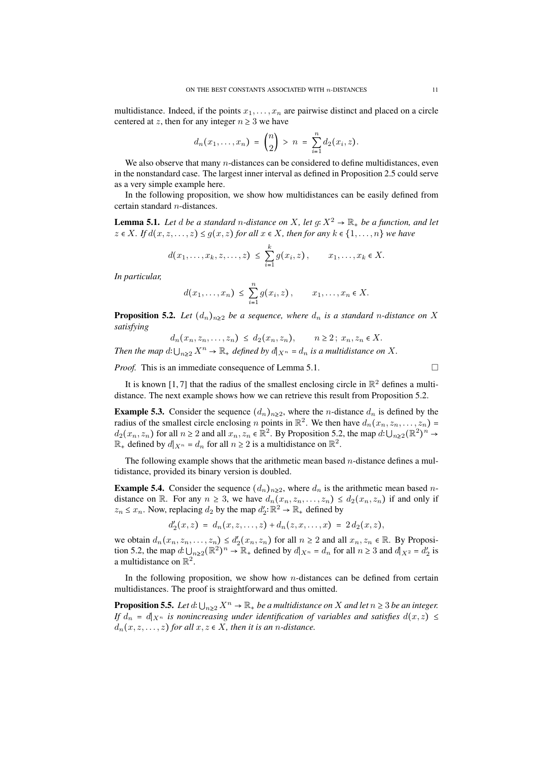multidistance. Indeed, if the points  $x_1, \ldots, x_n$  are pairwise distinct and placed on a circle centered at *z*, then for any integer  $n \geq 3$  we have

$$
d_n(x_1,...,x_n) = {n \choose 2} > n = \sum_{i=1}^n d_2(x_i,z).
$$

We also observe that many *n*-distances can be considered to define multidistances, even in the nonstandard case. The largest inner interval as defined in Proposition 2.5 could serve as a very simple example here.

In the following proposition, we show how multidistances can be easily defined from certain standard *n*-distances.

**Lemma 5.1.** Let *d* be a standard *n*-distance on X, let  $g: X^2 \to \mathbb{R}_+$  be a function, and let  $z \in X$ *. If*  $d(x, z, \ldots, z) \leq g(x, z)$  for all  $x \in X$ *, then for any*  $k \in \{1, \ldots, n\}$  we have

$$
d(x_1,\ldots,x_k,z,\ldots,z) \leq \sum_{i=1}^k g(x_i,z), \qquad x_1,\ldots,x_k \in X.
$$

*In particular,*

$$
d(x_1,\ldots,x_n) \leq \sum_{i=1}^n g(x_i,z), \qquad x_1,\ldots,x_n \in X.
$$

**Proposition 5.2.** Let  $(d_n)_{n \geq 2}$  be a sequence, where  $d_n$  is a standard *n*-distance on X *satisfying*

 $d_n(x_n, z_n, \ldots, z_n) \leq d_2(x_n, z_n), \qquad n \geq 2$ ;  $x_n, z_n \in X$ . *Then the map*  $d: \bigcup_{n\geq 2} X^n \to \mathbb{R}_+$  *defined by*  $d|_{X^n} = d_n$  *is a multidistance on*  $X$ *.* 

*Proof.* This is an immediate consequence of Lemma 5.1. □

It is known [1,7] that the radius of the smallest enclosing circle in  $\mathbb{R}^2$  defines a multidistance. The next example shows how we can retrieve this result from Proposition 5.2.

**Example 5.3.** Consider the sequence  $(d_n)_{n\geq 2}$ , where the *n*-distance  $d_n$  is defined by the radius of the smallest circle enclosing *n* points in  $\mathbb{R}^2$ . We then have  $d_n(x_n, z_n, \ldots, z_n)$  =  $d_2(x_n, z_n)$  for all  $n \ge 2$  and all  $x_n, z_n \in \mathbb{R}^2$ . By Proposition 5.2, the map  $d: \bigcup_{n \ge 2} (\mathbb{R}^2)^n \to$  $\mathbb{R}_+$  defined by  $d|_{X^n} = d_n$  for all  $n \geq 2$  is a multidistance on  $\mathbb{R}^2$ .

The following example shows that the arithmetic mean based *n*-distance defines a multidistance, provided its binary version is doubled.

**Example 5.4.** Consider the sequence  $(d_n)_{n\geq 2}$ , where  $d_n$  is the arithmetic mean based *n*distance on R. For any  $n \geq 3$ , we have  $d_n(x_n, z_n, \ldots, z_n) \leq d_2(x_n, z_n)$  if and only if  $z_n \leq x_n$ . Now, replacing  $d_2$  by the map  $d'_2 \colon \mathbb{R}^2 \to \mathbb{R}_+$  defined by

$$
d'_2(x,z) = d_n(x,z,\ldots,z) + d_n(z,x,\ldots,x) = 2 d_2(x,z),
$$

we obtain  $d_n(x_n, z_n, \ldots, z_n) \leq d'_2(x_n, z_n)$  for all  $n \geq 2$  and all  $x_n, z_n \in \mathbb{R}$ . By Proposition 5.2, the map  $d: \bigcup_{n\geq 2} (\mathbb{R}^2)^n \to \mathbb{R}_+$  defined by  $d|_{X^n} = d_n$  for all  $n \geq 3$  and  $d|_{X^2} = d'_2$  is a multidistance on  $\mathbb{R}^2$ .

In the following proposition, we show how *n*-distances can be defined from certain multidistances. The proof is straightforward and thus omitted.

**Proposition 5.5.** Let  $d: \bigcup_{n\geq 2} X^n \to \mathbb{R}_+$  be a multidistance on  $X$  and let  $n \geq 3$  be an integer. *If*  $d_n = d |_{X^n}$  *is nonincreasing under identification of variables and satisfies*  $d(x, z) \le$  $d_n(x, z, \ldots, z)$  *for all*  $x, z \in X$ *, then it is an n-distance.*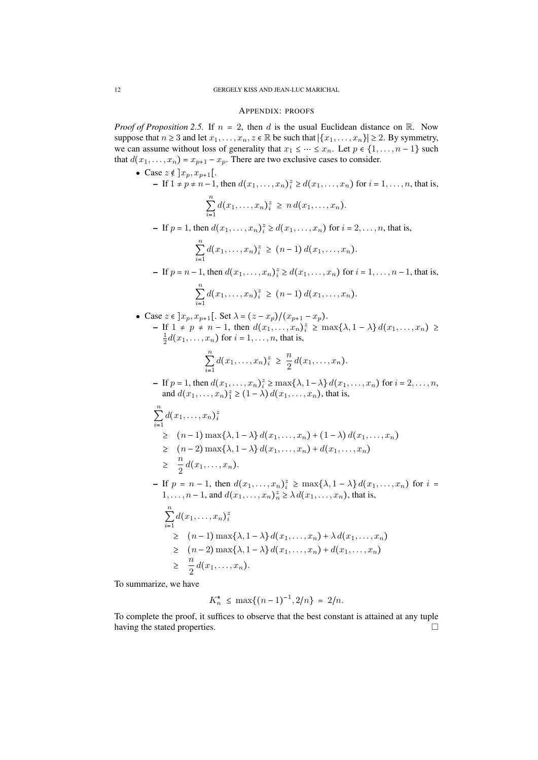### APPENDIX: PROOFS

*Proof of Proposition 2.5.* If  $n = 2$ , then *d* is the usual Euclidean distance on R. Now suppose that  $n \geq 3$  and let  $x_1, \ldots, x_n, z \in \mathbb{R}$  be such that  $|\{x_1, \ldots, x_n\}| \geq 2$ . By symmetry, we can assume without loss of generality that  $x_1 \leq \cdots \leq x_n$ . Let  $p \in \{1, \ldots, n-1\}$  such that  $d(x_1, \ldots, x_n) = x_{p+1} - x_p$ . There are two exclusive cases to consider.

• Case 
$$
z \notin ]x_p, x_{p+1}[
$$
.  
\n- If  $1 \neq p \neq n-1$ , then  $d(x_1,...,x_n)^z \geq d(x_1,...,x_n)$  for  $i = 1,...,n$ , that is,  
\n
$$
\sum_{i=1}^{n} d(x_1,...,x_n)^z \geq nd(x_1,...,x_n)
$$
.  
\n- If  $p = 1$ , then  $d(x_1,...,x_n)^z \geq d(x_1,...,x_n)$  for  $i = 2,...,n$ , that is,  
\n
$$
\sum_{i=1}^{n} d(x_1,...,x_n)^z \geq (n-1) d(x_1,...,x_n)
$$
.  
\n- If  $p = n-1$ , then  $d(x_1,...,x_n)^z \geq d(x_1,...,x_n)$  for  $i = 1,...,n-1$ , that is,  
\n
$$
\sum_{i=1}^{n} d(x_1,...,x_n)^z \geq (n-1) d(x_1,...,x_n)
$$
.  
\n• Case  $z \in ]x_p, x_{p+1}[$ . Set  $\lambda = (z - x_p)/(x_{p+1} - x_p)$ .  
\n- If  $1 \neq p \neq n-1$ , then  $d(x_1,...,x_n)^z \geq \max{\lambda, 1 - \lambda} d(x_1,...,x_n) \geq \frac{1}{2} d(x_1,...,x_n)$  for  $i = 1,...,n$ , that is,  
\n
$$
\sum_{i=1}^{n} d(x_1,...,x_n)^z \geq \frac{n}{2} d(x_1,...,x_n)
$$
.  
\n- If  $p = 1$ , then  $d(x_1,...,x_n)^z \geq \max{\lambda, 1 - \lambda} d(x_1,...,x_n)$  for  $i = 2,...,n$ , and  $d(x_1,...,x_n)^z \geq (1 - \lambda) d(x_1,...,x_n)$ , that is,  
\n
$$
\sum_{i=1}^{n} d(x_1,...,x_n)^z
$$
  
\n
$$
\geq (n-1) \max{\lambda, 1 - \lambda} d(x_1,...,x_n) + (1 - \lambda) d(x_1,...,x_n)
$$
  
\n
$$
\geq \frac{n}{2} d(x_1,...,x_n)^z
$$
  
\n- If  $p = n - 1$ 

To summarize, we have

$$
K_n^* \le \max\{(n-1)^{-1}, 2/n\} = 2/n.
$$

To complete the proof, it suffices to observe that the best constant is attained at any tuple having the stated properties.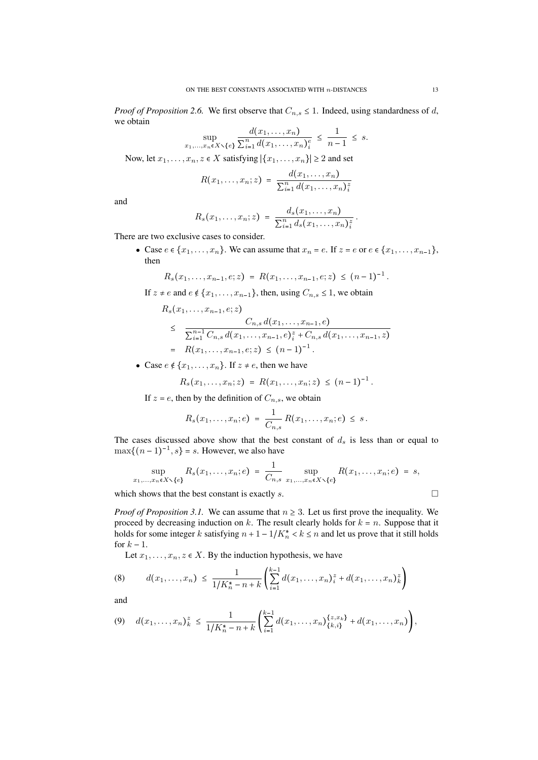*Proof of Proposition 2.6.* We first observe that  $C_{n,s} \leq 1$ . Indeed, using standardness of *d*, we obtain

$$
\sup_{x_1,...,x_n \in X \setminus \{e\}} \frac{d(x_1,...,x_n)}{\sum_{i=1}^n d(x_1,...,x_n)_i^e} \leq \frac{1}{n-1} \leq s.
$$

Now, let  $x_1, \ldots, x_n, z \in X$  satisfying  $|\{x_1, \ldots, x_n\}| \geq 2$  and set

$$
R(x_1,\ldots,x_n;z) = \frac{d(x_1,\ldots,x_n)}{\sum_{i=1}^n d(x_1,\ldots,x_n)_i^z}
$$

and

$$
R_s(x_1,...,x_n;z) = \frac{d_s(x_1,...,x_n)}{\sum_{i=1}^n d_s(x_1,...,x_n)^z_i}.
$$

There are two exclusive cases to consider.

• Case  $e \in \{x_1, \ldots, x_n\}$ . We can assume that  $x_n = e$ . If  $z = e$  or  $e \in \{x_1, \ldots, x_{n-1}\}$ , then

$$
R_s(x_1,\ldots,x_{n-1},e;z) = R(x_1,\ldots,x_{n-1},e;z) \leq (n-1)^{-1}.
$$

If  $z \neq e$  and  $e \notin \{x_1, \ldots, x_{n-1}\}$ , then, using  $C_{n,s} \leq 1$ , we obtain

$$
R_s(x_1,...,x_{n-1},e;z)
$$
  
\n
$$
\leq \frac{C_{n,s} d(x_1,...,x_{n-1},e)}{\sum_{i=1}^{n-1} C_{n,s} d(x_1,...,x_{n-1},e)_i^z + C_{n,s} d(x_1,...,x_{n-1},z)}
$$
  
\n
$$
= R(x_1,...,x_{n-1},e;z) \leq (n-1)^{-1}.
$$

• Case  $e \notin \{x_1, \ldots, x_n\}$ . If  $z \neq e$ , then we have

$$
R_s(x_1,\ldots,x_n;z) = R(x_1,\ldots,x_n;z) \leq (n-1)^{-1}.
$$

If  $z = e$ , then by the definition of  $C_{n,s}$ , we obtain

$$
R_s(x_1,...,x_n;e) = \frac{1}{C_{n,s}} R(x_1,...,x_n;e) \leq s.
$$

The cases discussed above show that the best constant of  $d_s$  is less than or equal to  $\max\{(n-1)^{-1}, s\} = s$ . However, we also have

$$
\sup_{x_1,\ldots,x_n\in X\setminus\{e\}} R_s(x_1,\ldots,x_n;e) = \frac{1}{C_{n,s}} \sup_{x_1,\ldots,x_n\in X\setminus\{e\}} R(x_1,\ldots,x_n;e) = s,
$$

which shows that the best constant is exactly  $s$ .

*Proof of Proposition 3.1.* We can assume that  $n \geq 3$ . Let us first prove the inequality. We proceed by decreasing induction on  $k$ . The result clearly holds for  $k = n$ . Suppose that it holds for some integer *k* satisfying  $n + 1 - 1/K_n^* < k \le n$  and let us prove that it still holds for  $k - 1$ .

Let  $x_1, \ldots, x_n, z \in X$ . By the induction hypothesis, we have

(8) 
$$
d(x_1,...,x_n) \leq \frac{1}{1/K_n^* - n + k} \left( \sum_{i=1}^{k-1} d(x_1,...,x_n)^z_i + d(x_1,...,x_n)^z_k \right)
$$

and

$$
(9) \quad d(x_1,\ldots,x_n)_k^z \leq \frac{1}{1/K_n^* - n + k} \left( \sum_{i=1}^{k-1} d(x_1,\ldots,x_n) \{z,x_k\}^{\{z,x_k\}} + d(x_1,\ldots,x_n) \right),
$$

$$
\overline{a}
$$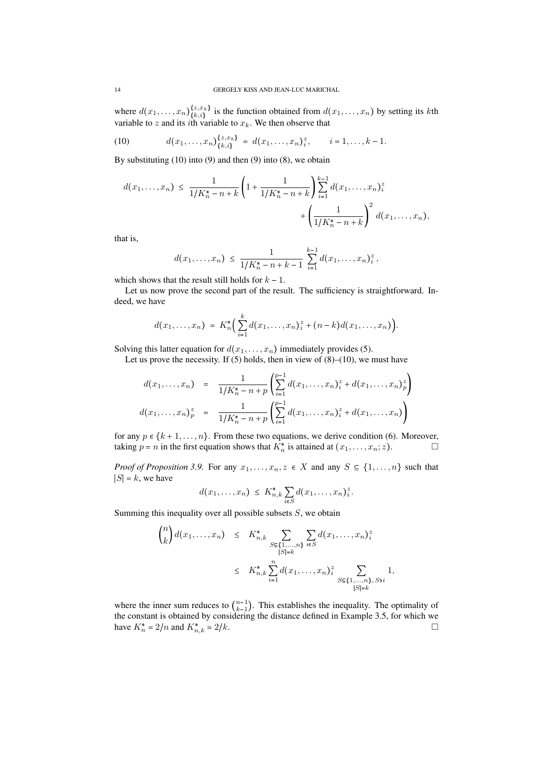where  $d(x_1, \ldots, x_n)_{\{k,i\}}^{\{z, x_k\}}$  $\{k, i\}$ <sup>{2,x}</sup> is the function obtained from  $d(x_1, \ldots, x_n)$  by setting its *k*th variable to *z* and its *i*th variable to *xk*. We then observe that

(10) 
$$
d(x_1,\ldots,x_n)_{\{k,i\}}^{\{z,x_k\}} = d(x_1,\ldots,x_n)_{i}^{z}, \qquad i=1,\ldots,k-1.
$$

By substituting (10) into (9) and then (9) into (8), we obtain

$$
d(x_1, \ldots, x_n) \leq \frac{1}{1/K_n^* - n + k} \left( 1 + \frac{1}{1/K_n^* - n + k} \right) \sum_{i=1}^{k-1} d(x_1, \ldots, x_n)_i^z
$$

$$
+ \left( \frac{1}{1/K_n^* - n + k} \right)^2 d(x_1, \ldots, x_n),
$$

that is,

$$
d(x_1,\ldots,x_n) \leq \frac{1}{1/K_n^*-n+k-1} \sum_{i=1}^{k-1} d(x_1,\ldots,x_n)^z_i,
$$

which shows that the result still holds for  $k - 1$ .

Let us now prove the second part of the result. The sufficiency is straightforward. Indeed, we have

$$
d(x_1,...,x_n) = K_n^* \Big( \sum_{i=1}^k d(x_1,...,x_n)_{i}^z + (n-k)d(x_1,...,x_n) \Big).
$$

Solving this latter equation for  $d(x_1, \ldots, x_n)$  immediately provides (5).

Let us prove the necessity. If  $(5)$  holds, then in view of  $(8)$ – $(10)$ , we must have

$$
d(x_1,...,x_n) = \frac{1}{1/K_n^* - n + p} \left( \sum_{i=1}^{p-1} d(x_1,...,x_n)^z_i + d(x_1,...,x_n)^z_p \right)
$$
  

$$
d(x_1,...,x_n)^z_p = \frac{1}{1/K_n^* - n + p} \left( \sum_{i=1}^{p-1} d(x_1,...,x_n)^z_i + d(x_1,...,x_n) \right)
$$

for any  $p \in \{k+1, \ldots, n\}$ . From these two equations, we derive condition (6). Moreover, taking  $p = n$  in the first equation shows that  $K_n^*$  is attained at  $(x_1, \ldots, x_n; z)$ .

*Proof of Proposition 3.9.* For any  $x_1, \ldots, x_n, z \in X$  and any  $S \subseteq \{1, \ldots, n\}$  such that  $|S| = k$ , we have

$$
d(x_1,\ldots,x_n) \leq K_{n,k}^* \sum_{i\in S} d(x_1,\ldots,x_n)_i^z.
$$

Summing this inequality over all possible subsets *S*, we obtain

$$
\binom{n}{k} d(x_1, \dots, x_n) \leq K_{n,k}^* \sum_{\substack{S \subseteq \{1, \dots, n\} \\ |S| = k}} \sum_{i \in S} d(x_1, \dots, x_n)_i^z
$$
  

$$
\leq K_{n,k}^* \sum_{i=1}^n d(x_1, \dots, x_n)_i^z \sum_{\substack{S \subseteq \{1, \dots, n\}, S \ni i}} 1,
$$

where the inner sum reduces to  $\binom{n-1}{k-1}$  $\binom{n-1}{k-1}$ . This establishes the inequality. The optimality of the constant is obtained by considering the distance defined in Example 3.5, for which we have  $K_n^* = 2/n$  and  $K_{n,k}^* = 2/k$ .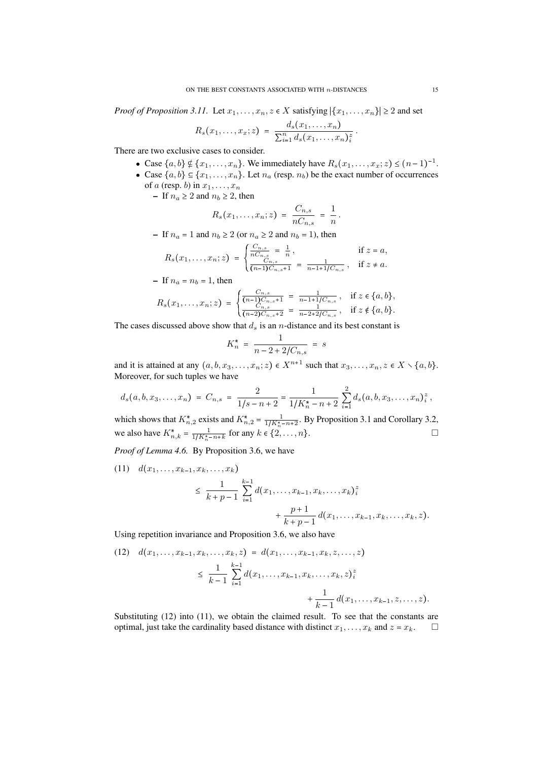*Proof of Proposition 3.11.* Let  $x_1, \ldots, x_n, z \in X$  satisfying  $|\{x_1, \ldots, x_n\}| \geq 2$  and set

$$
R_s(x_1,\ldots,x_x;z) = \frac{d_s(x_1,\ldots,x_n)}{\sum_{i=1}^n d_s(x_1,\ldots,x_n)^z_i}.
$$

There are two exclusive cases to consider.

- Case  $\{a, b\} \notin \{x_1, \ldots, x_n\}$ . We immediately have  $R_s(x_1, \ldots, x_x; z) \le (n-1)^{-1}$ .
- Case  $\{a, b\} \subseteq \{x_1, \ldots, x_n\}$ . Let  $n_a$  (resp.  $n_b$ ) be the exact number of occurrences of *a* (resp. *b*) in  $x_1, \ldots, x_n$ 
	- $-$  If  $n_a \geq 2$  and  $n_b \geq 2$ , then

$$
R_s(x_1,\ldots,x_n;z) = \frac{C_{n,s}}{nC_{n,s}} = \frac{1}{n}.
$$

 $-$  If  $n_a = 1$  and  $n_b \ge 2$  (or  $n_a \ge 2$  and  $n_b = 1$ ), then

$$
R_s(x_1,\ldots,x_n;z) = \begin{cases} \frac{C_{n,s}}{nC_{n,s}} = \frac{1}{n}, & \text{if } z = a, \\ \frac{C_{n,s}}{(n-1)C_{n,s}+1} = \frac{1}{n-1+1/C_{n,s}}, & \text{if } z \neq a. \end{cases}
$$

- If 
$$
n_a = n_b = 1
$$
, then

$$
R_s(x_1,\ldots,x_n;z) = \begin{cases} \frac{C_{n,s}}{(n-1)C_{n,s}+1} = \frac{1}{n-1+1/C_{n,s}}, & \text{if } z \in \{a,b\},\\ \frac{C_{n,s}}{(n-2)C_{n,s}+2} = \frac{1}{n-2+2/C_{n,s}}, & \text{if } z \notin \{a,b\}. \end{cases}
$$

The cases discussed above show that  $d_s$  is an *n*-distance and its best constant is

$$
K_n^* = \frac{1}{n - 2 + 2/C_{n,s}} = s
$$

and it is attained at any  $(a, b, x_3, \ldots, x_n; z) \in X^{n+1}$  such that  $x_3, \ldots, x_n, z \in X \setminus \{a, b\}.$ Moreover, for such tuples we have

$$
d_s(a,b,x_3,\ldots,x_n) = C_{n,s} = \frac{2}{1/s-n+2} = \frac{1}{1/K_n^*-n+2} \sum_{i=1}^2 d_s(a,b,x_3,\ldots,x_n)_i^z,
$$

which shows that  $K_{n,2}^*$  exists and  $K_{n,2}^* = \frac{1}{1/K_n^* - n + 2}$ . By Proposition 3.1 and Corollary 3.2, we also have  $K_{n,k}^* = \frac{1}{1/K_{n}^* - n + k}$  for any  $k \in \{2, ..., n\}$ .

*Proof of Lemma 4.6.* By Proposition 3.6, we have

$$
(11) d(x_1,...,x_{k-1},x_k,...,x_k)
$$
  
\n
$$
\leq \frac{1}{k+p-1} \sum_{i=1}^{k-1} d(x_1,...,x_{k-1},x_k,...,x_k)_i^z
$$
  
\n
$$
+ \frac{p+1}{k+p-1} d(x_1,...,x_{k-1},x_k,...,x_k,z).
$$

Using repetition invariance and Proposition 3.6, we also have

$$
(12) \quad d(x_1, \ldots, x_{k-1}, x_k, \ldots, x_k, z) = d(x_1, \ldots, x_{k-1}, x_k, z, \ldots, z)
$$
\n
$$
\leq \frac{1}{k-1} \sum_{i=1}^{k-1} d(x_1, \ldots, x_{k-1}, x_k, \ldots, x_k, z)^{z}
$$
\n
$$
+ \frac{1}{k-1} d(x_1, \ldots, x_{k-1}, z, \ldots, z).
$$

Substituting (12) into (11), we obtain the claimed result. To see that the constants are optimal, just take the cardinality based distance with distinct  $x_1, \ldots, x_k$  and  $z = x_k$ .  $\Box$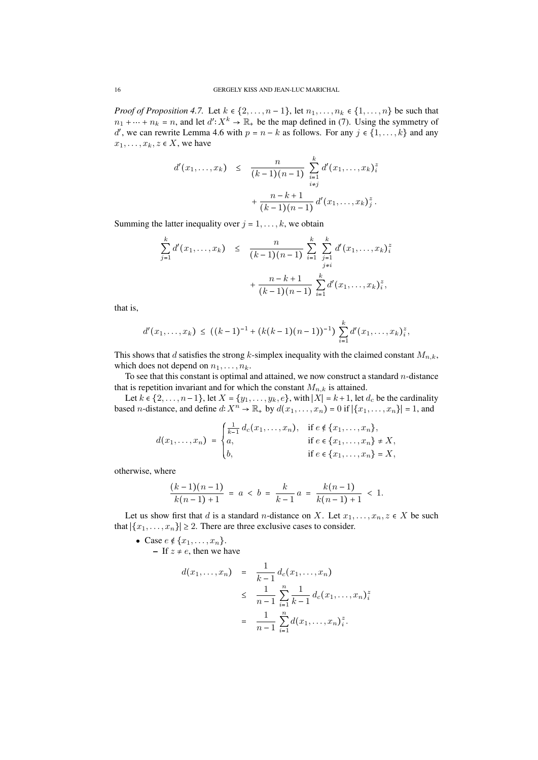*Proof of Proposition 4.7.* Let  $k \in \{2, \ldots, n-1\}$ , let  $n_1, \ldots, n_k \in \{1, \ldots, n\}$  be such that  $n_1 + \cdots + n_k = n$ , and let  $d' : X^k \to \mathbb{R}_+$  be the map defined in (7). Using the symmetry of  $d'$ , we can rewrite Lemma 4.6 with  $p = n - k$  as follows. For any  $j \in \{1, ..., k\}$  and any  $x_1, \ldots, x_k, z \in X$ , we have

$$
d'(x_1,...,x_k) \leq \frac{n}{(k-1)(n-1)} \sum_{\substack{i=1 \ i \neq j}}^k d'(x_1,...,x_k)_{i}^2
$$

$$
+ \frac{n-k+1}{(k-1)(n-1)} d'(x_1,...,x_k)_{j}^2.
$$

Summing the latter inequality over  $j = 1, \ldots, k$ , we obtain

$$
\sum_{j=1}^{k} d'(x_1, \ldots, x_k) \leq \frac{n}{(k-1)(n-1)} \sum_{i=1}^{k} \sum_{\substack{j=1 \ j \neq i}}^{k} d'(x_1, \ldots, x_k)_{i}^{z} + \frac{n-k+1}{(k-1)(n-1)} \sum_{i=1}^{k} d'(x_1, \ldots, x_k)_{i}^{z},
$$

that is,

$$
d'(x_1,\ldots,x_k) \le ((k-1)^{-1} + (k(k-1)(n-1))^{-1}) \sum_{i=1}^k d'(x_1,\ldots,x_k)^z_i,
$$

This shows that *d* satisfies the strong *k*-simplex inequality with the claimed constant *Mn,k*, which does not depend on  $n_1, \ldots, n_k$ .

To see that this constant is optimal and attained, we now construct a standard *n*-distance that is repetition invariant and for which the constant  $M_{n,k}$  is attained.

Let  $k \in \{2, \ldots, n-1\}$ , let  $X = \{y_1, \ldots, y_k, e\}$ , with  $|X| = k+1$ , let  $d_c$  be the cardinality based *n*-distance, and define  $d: X^n \to \mathbb{R}_+$  by  $d(x_1, \ldots, x_n) = 0$  if  $|\{x_1, \ldots, x_n\}| = 1$ , and

$$
d(x_1,...,x_n) = \begin{cases} \frac{1}{k-1} d_c(x_1,...,x_n), & \text{if } e \notin \{x_1,...,x_n\}, \\ a, & \text{if } e \in \{x_1,...,x_n\} \neq X, \\ b, & \text{if } e \in \{x_1,...,x_n\} = X, \end{cases}
$$

otherwise, where

$$
\frac{(k-1)(n-1)}{k(n-1)+1} = a < b = \frac{k}{k-1}a = \frac{k(n-1)}{k(n-1)+1} < 1.
$$

Let us show first that *d* is a standard *n*-distance on *X*. Let  $x_1, \ldots, x_n, z \in X$  be such that  $|\{x_1, \ldots, x_n\}| \geq 2$ . There are three exclusive cases to consider.

• Case  $e \notin \{x_1, \ldots, x_n\}.$ 

 $-$  If  $z \neq e$ , then we have

$$
d(x_1,...,x_n) = \frac{1}{k-1} d_c(x_1,...,x_n)
$$
  
\n
$$
\leq \frac{1}{n-1} \sum_{i=1}^n \frac{1}{k-1} d_c(x_1,...,x_n)^2_i
$$
  
\n
$$
= \frac{1}{n-1} \sum_{i=1}^n d(x_1,...,x_n)^2_i.
$$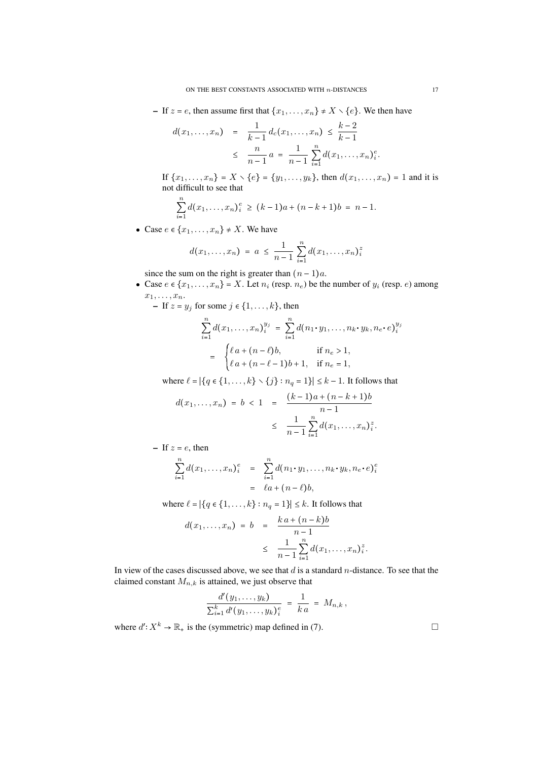– If  $z = e$ , then assume first that  $\{x_1, \ldots, x_n\} \neq X \setminus \{e\}$ . We then have

$$
d(x_1,...,x_n) = \frac{1}{k-1} d_c(x_1,...,x_n) \leq \frac{k-2}{k-1}
$$
  
 
$$
\leq \frac{n}{n-1} a = \frac{1}{n-1} \sum_{i=1}^n d(x_1,...,x_n)_i^e.
$$

If  $\{x_1, \ldots, x_n\} = X \setminus \{e\} = \{y_1, \ldots, y_k\}$ , then  $d(x_1, \ldots, x_n) = 1$  and it is not difficult to see that

$$
\sum_{i=1}^n d(x_1,\ldots,x_n)_i^e \ge (k-1)a + (n-k+1)b = n-1.
$$

• Case  $e \in \{x_1, \ldots, x_n\} \neq X$ . We have

$$
d(x_1,...,x_n) = a \leq \frac{1}{n-1} \sum_{i=1}^n d(x_1,...,x_n)^2
$$

since the sum on the right is greater than  $(n-1)a$ .

- Case  $e \in \{x_1, \ldots, x_n\} = X$ . Let  $n_i$  (resp.  $n_e$ ) be the number of  $y_i$  (resp.  $e$ ) among  $x_1, \ldots, x_n$ .
	- $-$  If  $z = y_j$  for some  $j \in \{1, \ldots, k\}$ , then

$$
\sum_{i=1}^{n} d(x_1, \dots, x_n)_{i}^{y_j} = \sum_{i=1}^{n} d(n_1 \cdot y_1, \dots, n_k \cdot y_k, n_e \cdot e)_{i}^{y_j}
$$

$$
= \begin{cases} \ell a + (n - \ell)b, & \text{if } n_e > 1, \\ \ell a + (n - \ell - 1)b + 1, & \text{if } n_e = 1, \end{cases}
$$

where  $\ell = |\{q \in \{1, ..., k\} \setminus \{j\} : n_q = 1\}| \leq k - 1$ . It follows that

$$
d(x_1,...,x_n) = b < 1 = \frac{(k-1)a + (n-k+1)b}{n-1}
$$
  

$$
\leq \frac{1}{n-1} \sum_{i=1}^n d(x_1,...,x_n)^2
$$

 $-$  If  $z = e$ , then

$$
\sum_{i=1}^{n} d(x_1, ..., x_n)_i^e = \sum_{i=1}^{n} d(n_1 \cdot y_1, ..., n_k \cdot y_k, n_e \cdot e)_i^e
$$
  
=  $\ell a + (n - \ell)b$ ,

where  $\ell = |\{q \in \{1, \ldots, k\} : n_q = 1\}| \leq k$ . It follows that

$$
d(x_1,...,x_n) = b = \frac{k a + (n-k)b}{n-1}
$$
  

$$
\leq \frac{1}{n-1} \sum_{i=1}^n d(x_1,...,x_n)^2
$$

In view of the cases discussed above, we see that *d* is a standard *n*-distance. To see that the claimed constant  $M_{n,k}$  is attained, we just observe that

$$
\frac{d'(y_1,\ldots,y_k)}{\sum_{i=1}^k d'(y_1,\ldots,y_k)_i^e} = \frac{1}{k a} = M_{n,k},
$$

where  $d'$ :  $X^k \to \mathbb{R}_+$  is the (symmetric) map defined in (7).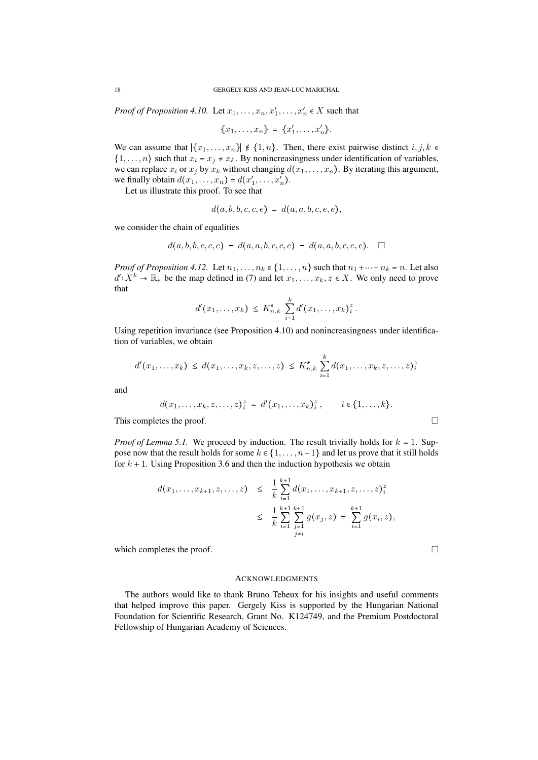*Proof of Proposition 4.10.* Let  $x_1, \ldots, x_n, x'_1, \ldots, x'_n \in X$  such that

$$
\{x_1, \ldots, x_n\} = \{x'_1, \ldots, x'_n\}.
$$

We can assume that  $|\{x_1, \ldots, x_n\}| \notin \{1, n\}$ . Then, there exist pairwise distinct  $i, j, k \in \{1, n\}$ .  $\{1, \ldots, n\}$  such that  $x_i = x_j \neq x_k$ . By nonincreasingness under identification of variables, we can replace  $x_i$  or  $x_j$  by  $x_k$  without changing  $d(x_1, \ldots, x_n)$ . By iterating this argument, we finally obtain  $d(x_1, ..., x_n) = d(x'_1, ..., x'_n)$ .

Let us illustrate this proof. To see that

$$
d(a, b, b, c, c, e) = d(a, a, b, c, e, e),
$$

we consider the chain of equalities

$$
d(a, b, b, c, c, e) = d(a, a, b, c, c, e) = d(a, a, b, c, e, e). \square
$$

*Proof of Proposition 4.12.* Let  $n_1, \ldots, n_k \in \{1, \ldots, n\}$  such that  $n_1 + \cdots + n_k = n$ . Let also  $d' : X^k \to \mathbb{R}_+$  be the map defined in (7) and let  $x_1, \ldots, x_k, z \in X$ . We only need to prove that

$$
d'(x_1,\ldots,x_k) \ \leq \ K_{n,k}^* \ \sum_{i=1}^k d'(x_1,\ldots,x_k)_{i}^z \ .
$$

Using repetition invariance (see Proposition 4.10) and nonincreasingness under identification of variables, we obtain

$$
d'(x_1,\ldots,x_k) \leq d(x_1,\ldots,x_k,z,\ldots,z) \leq K_{n,k}^* \sum_{i=1}^k d(x_1,\ldots,x_k,z,\ldots,z)_{i}^*
$$

and

$$
d(x_1,\ldots,x_k,z,\ldots,z)^z_i = d'(x_1,\ldots,x_k)^z_i, \qquad i \in \{1,\ldots,k\}.
$$

This completes the proof.  $\Box$ 

*Proof of Lemma 5.1.* We proceed by induction. The result trivially holds for  $k = 1$ . Suppose now that the result holds for some  $k \in \{1, \ldots, n-1\}$  and let us prove that it still holds for  $k + 1$ . Using Proposition 3.6 and then the induction hypothesis we obtain

$$
d(x_1,...,x_{k+1},z,...,z) \leq \frac{1}{k} \sum_{i=1}^{k+1} d(x_1,...,x_{k+1},z,...,z)^{z}_{i}
$$
  

$$
\leq \frac{1}{k} \sum_{i=1}^{k+1} \sum_{\substack{j=1 \ j \neq i}}^{k+1} g(x_j,z) = \sum_{i=1}^{k+1} g(x_i,z),
$$

which completes the proof.  $\Box$ 

# ACKNOWLEDGMENTS

The authors would like to thank Bruno Teheux for his insights and useful comments that helped improve this paper. Gergely Kiss is supported by the Hungarian National Foundation for Scientific Research, Grant No. K124749, and the Premium Postdoctoral Fellowship of Hungarian Academy of Sciences.